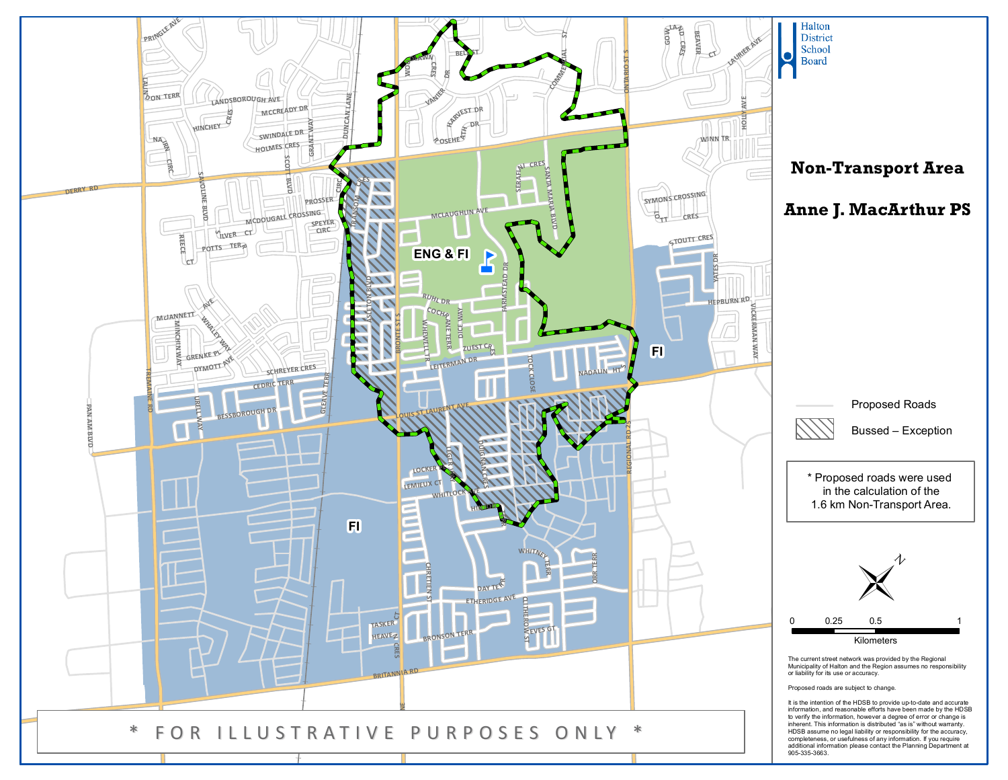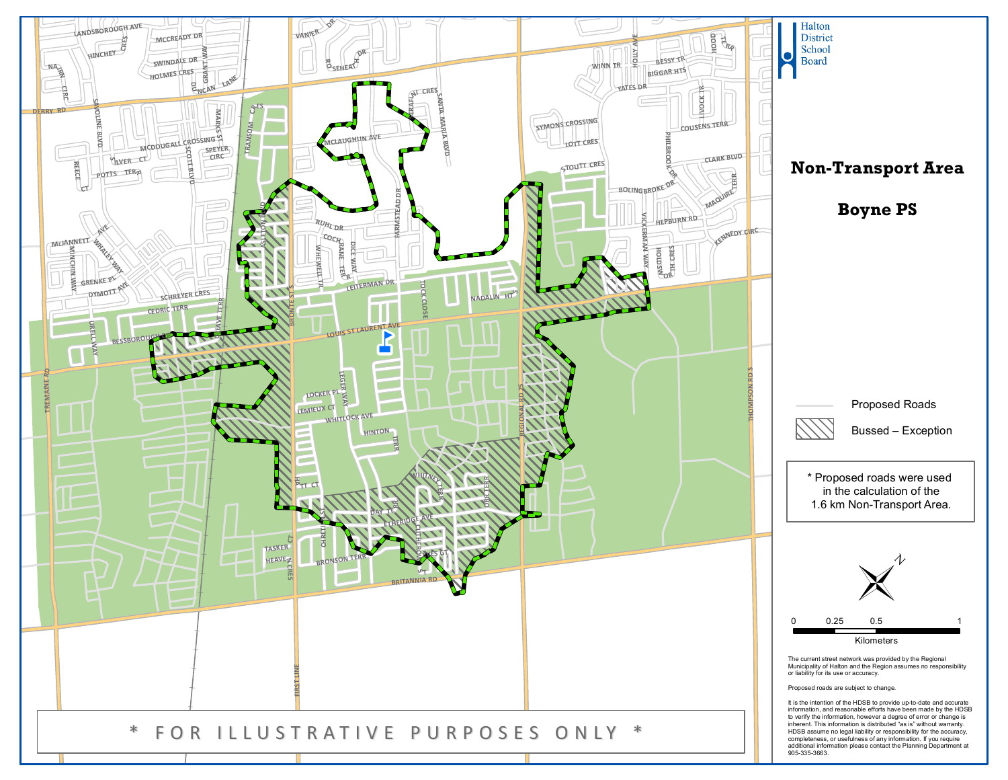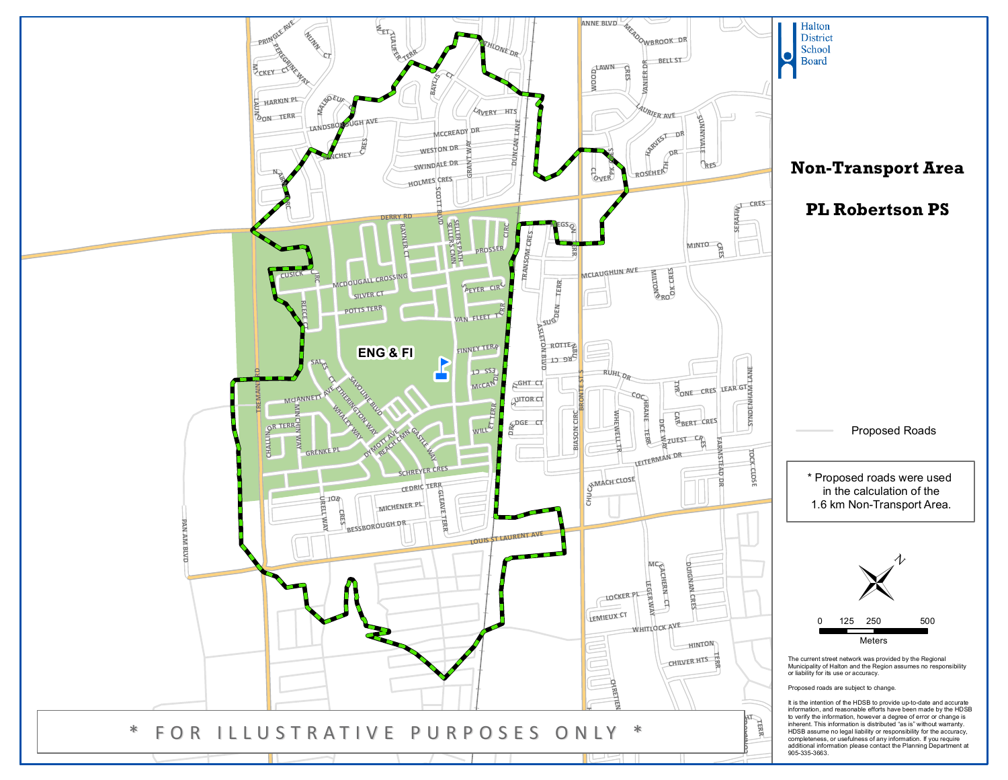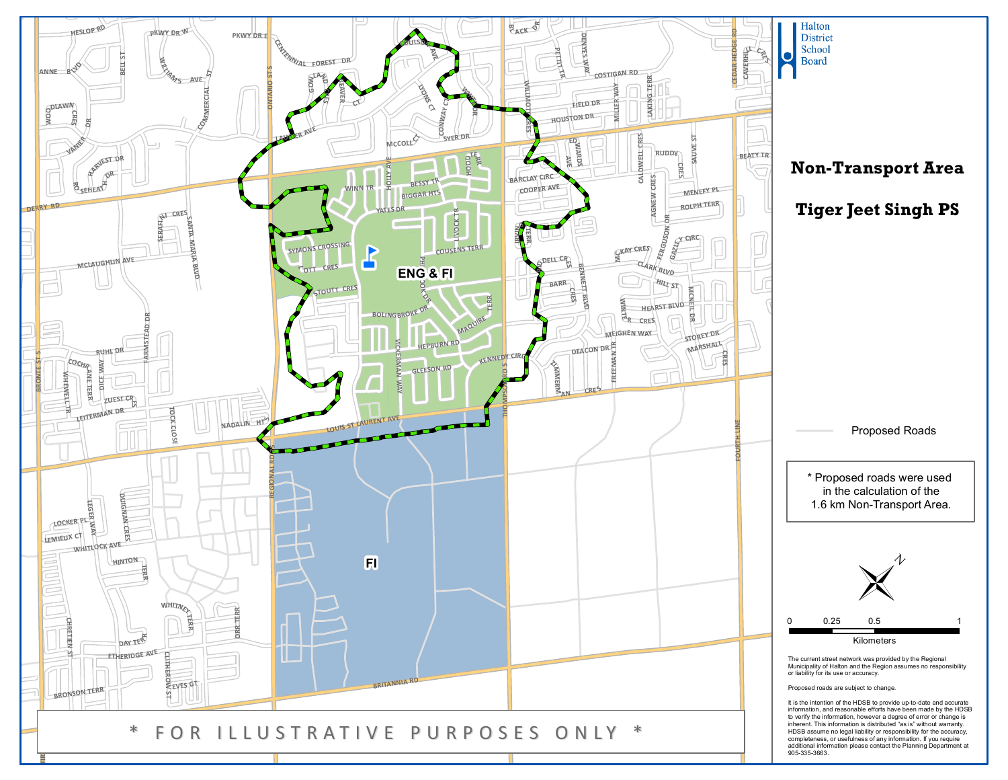